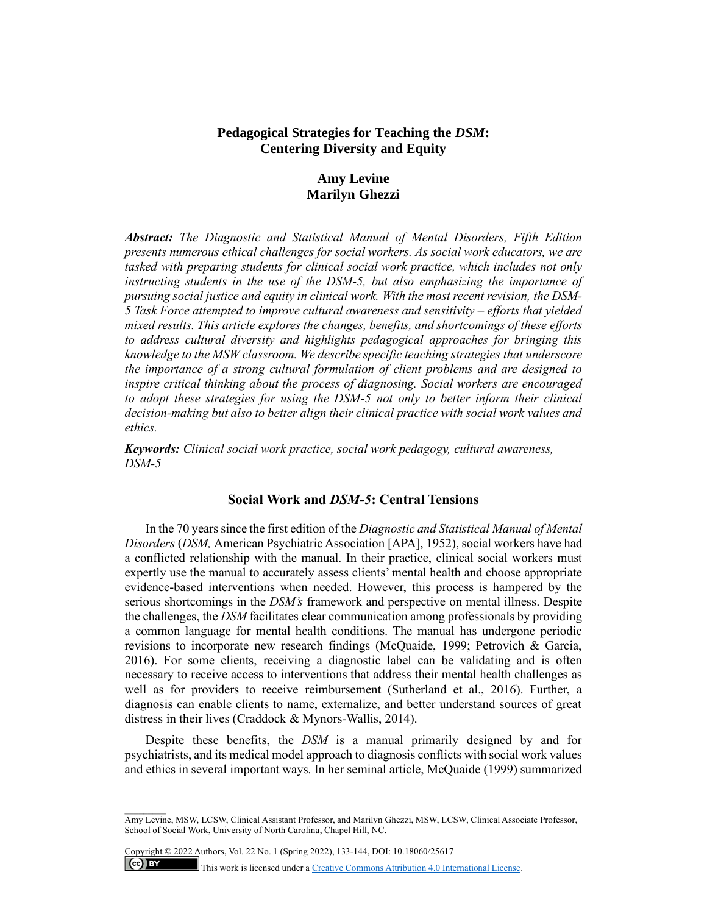# **Pedagogical Strategies for Teaching the** *DSM***: Centering Diversity and Equity**

# **Amy Levine Marilyn Ghezzi**

*Abstract: The Diagnostic and Statistical Manual of Mental Disorders, Fifth Edition presents numerous ethical challenges for social workers. As social work educators, we are tasked with preparing students for clinical social work practice, which includes not only instructing students in the use of the DSM-5, but also emphasizing the importance of pursuing social justice and equity in clinical work. With the most recent revision, the DSM-5 Task Force attempted to improve cultural awareness and sensitivity – efforts that yielded mixed results. This article explores the changes, benefits, and shortcomings of these efforts to address cultural diversity and highlights pedagogical approaches for bringing this knowledge to the MSW classroom. We describe specific teaching strategies that underscore the importance of a strong cultural formulation of client problems and are designed to inspire critical thinking about the process of diagnosing. Social workers are encouraged to adopt these strategies for using the DSM-5 not only to better inform their clinical decision-making but also to better align their clinical practice with social work values and ethics.*

*Keywords: Clinical social work practice, social work pedagogy, cultural awareness, DSM-5*

### **Social Work and** *DSM-5***: Central Tensions**

In the 70 years since the first edition of the *Diagnostic and Statistical Manual of Mental Disorders* (*DSM,* American Psychiatric Association [APA], 1952), social workers have had a conflicted relationship with the manual. In their practice, clinical social workers must expertly use the manual to accurately assess clients' mental health and choose appropriate evidence-based interventions when needed. However, this process is hampered by the serious shortcomings in the *DSM's* framework and perspective on mental illness. Despite the challenges, the *DSM* facilitates clear communication among professionals by providing a common language for mental health conditions. The manual has undergone periodic revisions to incorporate new research findings (McQuaide, 1999; Petrovich & Garcia, 2016). For some clients, receiving a diagnostic label can be validating and is often necessary to receive access to interventions that address their mental health challenges as well as for providers to receive reimbursement (Sutherland et al., 2016). Further, a diagnosis can enable clients to name, externalize, and better understand sources of great distress in their lives (Craddock & Mynors-Wallis, 2014).

Despite these benefits, the *DSM* is a manual primarily designed by and for psychiatrists, and its medical model approach to diagnosis conflicts with social work values and ethics in several important ways. In her seminal article, McQuaide (1999) summarized

Copyright © 2022 Authors, Vol. 22 No. 1 (Spring 2022), 133-144, DOI: 10.18060/25617  $(cc)$  BY

This work is licensed under [a Creative Commons Attribution 4.0 International License.](about:blank)

Amy Levine, MSW, LCSW, Clinical Assistant Professor, and Marilyn Ghezzi, MSW, LCSW, Clinical Associate Professor, School of Social Work, University of North Carolina, Chapel Hill, NC.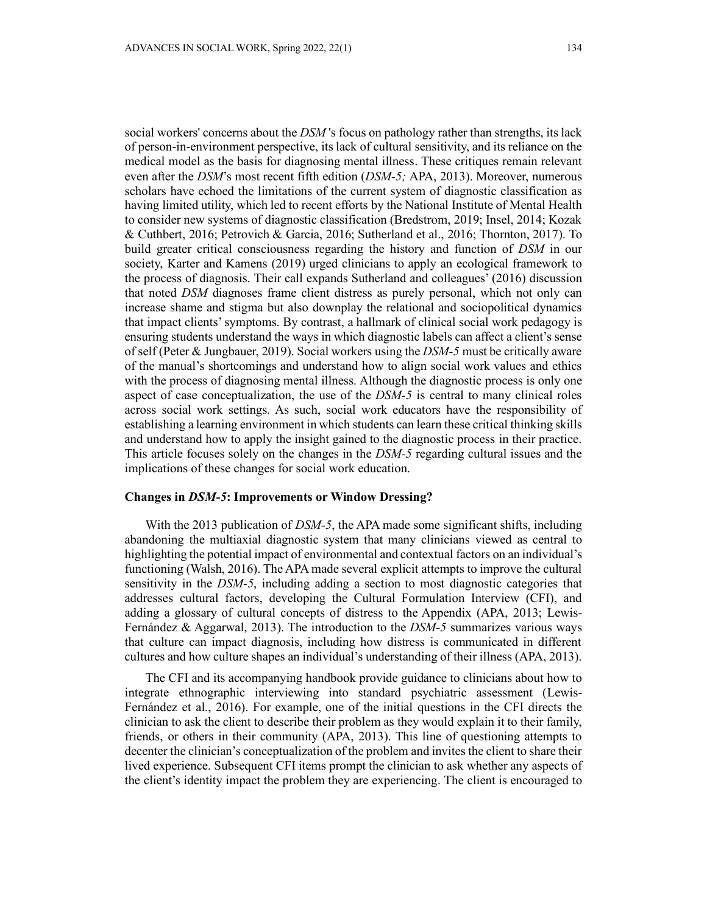social workers' concerns about the *DSM* 's focus on pathology rather than strengths, its lack of person-in-environment perspective, its lack of cultural sensitivity, and its reliance on the medical model as the basis for diagnosing mental illness. These critiques remain relevant even after the *DSM*'s most recent fifth edition (*DSM-5;* APA, 2013). Moreover, numerous scholars have echoed the limitations of the current system of diagnostic classification as having limited utility, which led to recent efforts by the National Institute of Mental Health to consider new systems of diagnostic classification (Bredstrom, 2019; Insel, 2014; Kozak & Cuthbert, 2016; Petrovich & Garcia, 2016; Sutherland et al., 2016; Thornton, 2017). To build greater critical consciousness regarding the history and function of *DSM* in our society, Karter and Kamens (2019) urged clinicians to apply an ecological framework to the process of diagnosis. Their call expands Sutherland and colleagues' (2016) discussion that noted *DSM* diagnoses frame client distress as purely personal, which not only can increase shame and stigma but also downplay the relational and sociopolitical dynamics that impact clients'symptoms. By contrast, a hallmark of clinical social work pedagogy is ensuring students understand the ways in which diagnostic labels can affect a client's sense of self (Peter & Jungbauer, 2019). Social workers using the *DSM-5* must be critically aware of the manual's shortcomings and understand how to align social work values and ethics with the process of diagnosing mental illness. Although the diagnostic process is only one aspect of case conceptualization, the use of the *DSM-5* is central to many clinical roles across social work settings. As such, social work educators have the responsibility of establishing a learning environment in which students can learn these critical thinking skills and understand how to apply the insight gained to the diagnostic process in their practice. This article focuses solely on the changes in the *DSM-5* regarding cultural issues and the implications of these changes for social work education.

#### **Changes in** *DSM-5***: Improvements or Window Dressing?**

With the 2013 publication of *DSM-5*, the APA made some significant shifts, including abandoning the multiaxial diagnostic system that many clinicians viewed as central to highlighting the potential impact of environmental and contextual factors on an individual's functioning (Walsh, 2016). The APA made several explicit attempts to improve the cultural sensitivity in the *DSM-5*, including adding a section to most diagnostic categories that addresses cultural factors, developing the Cultural Formulation Interview (CFI), and adding a glossary of cultural concepts of distress to the Appendix (APA, 2013; Lewis-Fernández & Aggarwal, 2013). The introduction to the *DSM-5* summarizes various ways that culture can impact diagnosis, including how distress is communicated in different cultures and how culture shapes an individual's understanding of their illness (APA, 2013).

The CFI and its accompanying handbook provide guidance to clinicians about how to integrate ethnographic interviewing into standard psychiatric assessment (Lewis-Fernández et al., 2016). For example, one of the initial questions in the CFI directs the clinician to ask the client to describe their problem as they would explain it to their family, friends, or others in their community (APA, 2013). This line of questioning attempts to decenter the clinician's conceptualization of the problem and invites the client to share their lived experience. Subsequent CFI items prompt the clinician to ask whether any aspects of the client's identity impact the problem they are experiencing. The client is encouraged to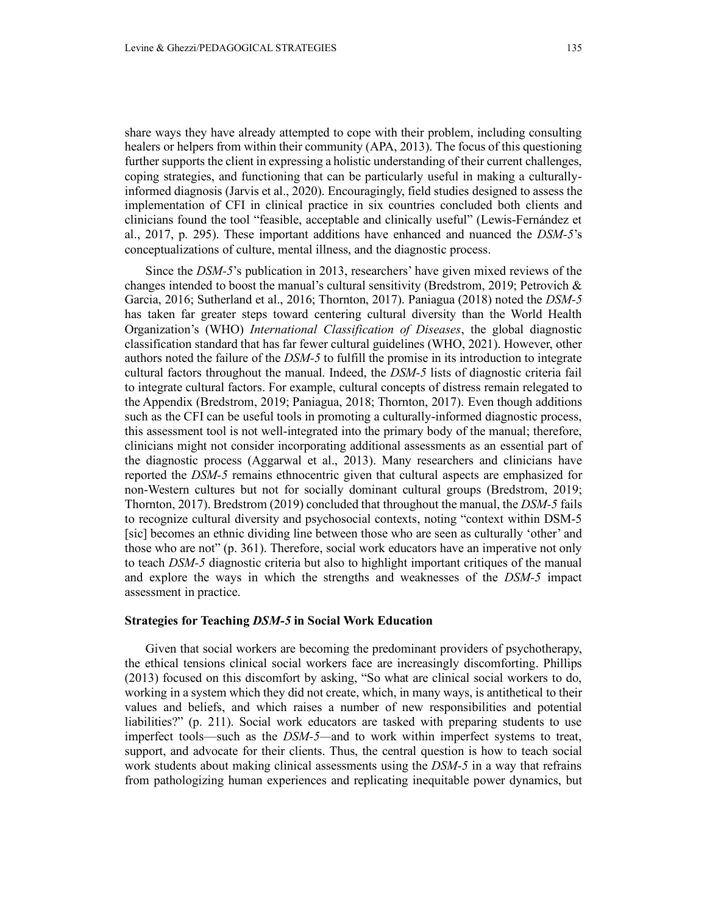share ways they have already attempted to cope with their problem, including consulting healers or helpers from within their community (APA, 2013). The focus of this questioning further supports the client in expressing a holistic understanding of their current challenges, coping strategies, and functioning that can be particularly useful in making a culturallyinformed diagnosis (Jarvis et al., 2020). Encouragingly, field studies designed to assess the implementation of CFI in clinical practice in six countries concluded both clients and clinicians found the tool "feasible, acceptable and clinically useful" (Lewis-Fernández et al., 2017, p. 295). These important additions have enhanced and nuanced the *DSM-5*'s conceptualizations of culture, mental illness, and the diagnostic process.

Since the *DSM-5*'s publication in 2013, researchers' have given mixed reviews of the changes intended to boost the manual's cultural sensitivity (Bredstrom, 2019; Petrovich  $\&$ Garcia, 2016; Sutherland et al., 2016; Thornton, 2017). Paniagua (2018) noted the *DSM-5* has taken far greater steps toward centering cultural diversity than the World Health Organization's (WHO) *International Classification of Diseases*, the global diagnostic classification standard that has far fewer cultural guidelines (WHO, 2021). However, other authors noted the failure of the *DSM-5* to fulfill the promise in its introduction to integrate cultural factors throughout the manual. Indeed, the *DSM-5* lists of diagnostic criteria fail to integrate cultural factors. For example, cultural concepts of distress remain relegated to the Appendix (Bredstrom, 2019; Paniagua, 2018; Thornton, 2017). Even though additions such as the CFI can be useful tools in promoting a culturally-informed diagnostic process, this assessment tool is not well-integrated into the primary body of the manual; therefore, clinicians might not consider incorporating additional assessments as an essential part of the diagnostic process (Aggarwal et al., 2013). Many researchers and clinicians have reported the *DSM-5* remains ethnocentric given that cultural aspects are emphasized for non-Western cultures but not for socially dominant cultural groups (Bredstrom, 2019; Thornton, 2017). Bredstrom (2019) concluded that throughout the manual, the *DSM-5* fails to recognize cultural diversity and psychosocial contexts, noting "context within DSM-5 [sic] becomes an ethnic dividing line between those who are seen as culturally 'other' and those who are not" (p. 361). Therefore, social work educators have an imperative not only to teach *DSM-5* diagnostic criteria but also to highlight important critiques of the manual and explore the ways in which the strengths and weaknesses of the *DSM-5* impact assessment in practice.

#### **Strategies for Teaching** *DSM-5* **in Social Work Education**

Given that social workers are becoming the predominant providers of psychotherapy, the ethical tensions clinical social workers face are increasingly discomforting. Phillips (2013) focused on this discomfort by asking, "So what are clinical social workers to do, working in a system which they did not create, which, in many ways, is antithetical to their values and beliefs, and which raises a number of new responsibilities and potential liabilities?" (p. 211). Social work educators are tasked with preparing students to use imperfect tools—such as the *DSM-5—*and to work within imperfect systems to treat, support, and advocate for their clients. Thus, the central question is how to teach social work students about making clinical assessments using the *DSM-5* in a way that refrains from pathologizing human experiences and replicating inequitable power dynamics, but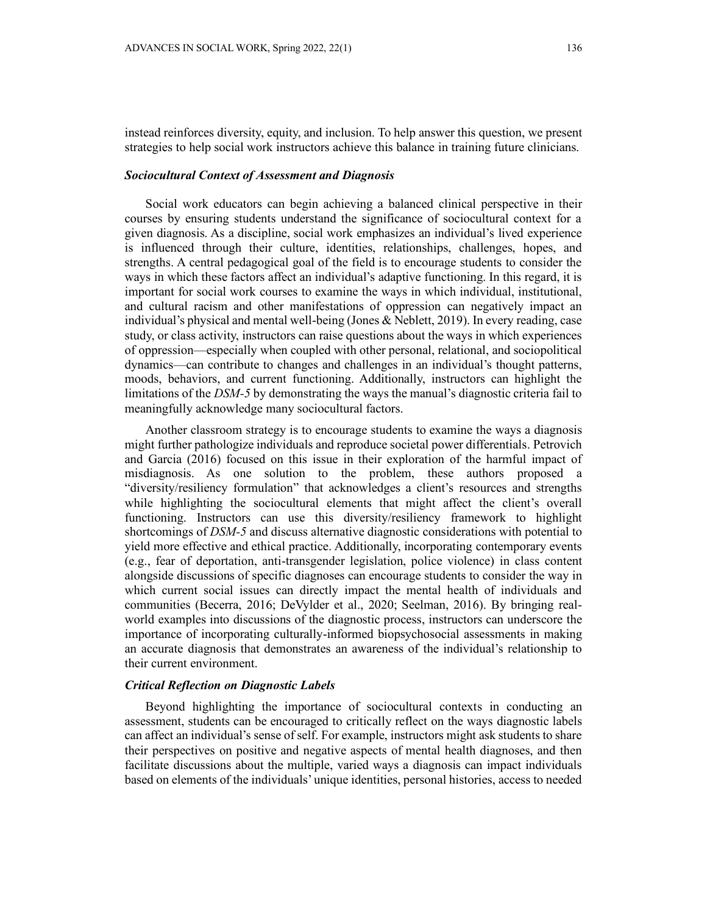instead reinforces diversity, equity, and inclusion. To help answer this question, we present strategies to help social work instructors achieve this balance in training future clinicians.

#### *Sociocultural Context of Assessment and Diagnosis*

Social work educators can begin achieving a balanced clinical perspective in their courses by ensuring students understand the significance of sociocultural context for a given diagnosis. As a discipline, social work emphasizes an individual's lived experience is influenced through their culture, identities, relationships, challenges, hopes, and strengths. A central pedagogical goal of the field is to encourage students to consider the ways in which these factors affect an individual's adaptive functioning. In this regard, it is important for social work courses to examine the ways in which individual, institutional, and cultural racism and other manifestations of oppression can negatively impact an individual's physical and mental well-being (Jones & Neblett, 2019). In every reading, case study, or class activity, instructors can raise questions about the ways in which experiences of oppression—especially when coupled with other personal, relational, and sociopolitical dynamics—can contribute to changes and challenges in an individual's thought patterns, moods, behaviors, and current functioning. Additionally, instructors can highlight the limitations of the *DSM-5* by demonstrating the ways the manual's diagnostic criteria fail to meaningfully acknowledge many sociocultural factors.

Another classroom strategy is to encourage students to examine the ways a diagnosis might further pathologize individuals and reproduce societal power differentials. Petrovich and Garcia (2016) focused on this issue in their exploration of the harmful impact of misdiagnosis. As one solution to the problem, these authors proposed a "diversity/resiliency formulation" that acknowledges a client's resources and strengths while highlighting the sociocultural elements that might affect the client's overall functioning. Instructors can use this diversity/resiliency framework to highlight shortcomings of *DSM-5* and discuss alternative diagnostic considerations with potential to yield more effective and ethical practice. Additionally, incorporating contemporary events (e.g., fear of deportation, anti-transgender legislation, police violence) in class content alongside discussions of specific diagnoses can encourage students to consider the way in which current social issues can directly impact the mental health of individuals and communities (Becerra, 2016; DeVylder et al., 2020; Seelman, 2016). By bringing realworld examples into discussions of the diagnostic process, instructors can underscore the importance of incorporating culturally-informed biopsychosocial assessments in making an accurate diagnosis that demonstrates an awareness of the individual's relationship to their current environment.

### *Critical Reflection on Diagnostic Labels*

Beyond highlighting the importance of sociocultural contexts in conducting an assessment, students can be encouraged to critically reflect on the ways diagnostic labels can affect an individual's sense of self. For example, instructors might ask students to share their perspectives on positive and negative aspects of mental health diagnoses, and then facilitate discussions about the multiple, varied ways a diagnosis can impact individuals based on elements of the individuals' unique identities, personal histories, access to needed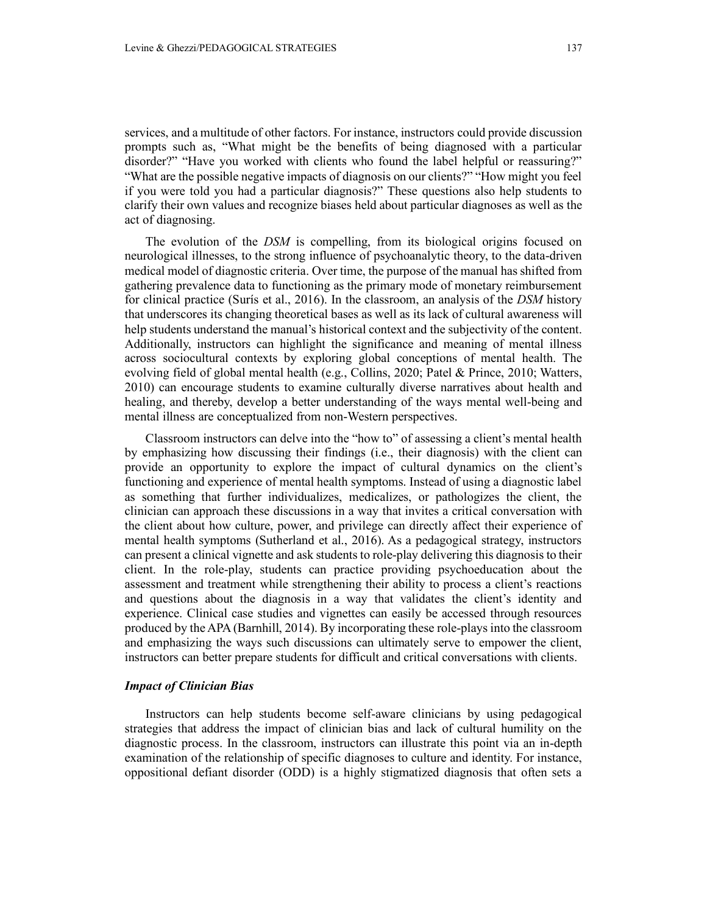services, and a multitude of other factors. For instance, instructors could provide discussion prompts such as, "What might be the benefits of being diagnosed with a particular disorder?" "Have you worked with clients who found the label helpful or reassuring?" "What are the possible negative impacts of diagnosis on our clients?" "How might you feel if you were told you had a particular diagnosis?" These questions also help students to clarify their own values and recognize biases held about particular diagnoses as well as the act of diagnosing.

The evolution of the *DSM* is compelling, from its biological origins focused on neurological illnesses, to the strong influence of psychoanalytic theory, to the data-driven medical model of diagnostic criteria. Over time, the purpose of the manual has shifted from gathering prevalence data to functioning as the primary mode of monetary reimbursement for clinical practice (Surís et al., 2016). In the classroom, an analysis of the *DSM* history that underscores its changing theoretical bases as well as its lack of cultural awareness will help students understand the manual's historical context and the subjectivity of the content. Additionally, instructors can highlight the significance and meaning of mental illness across sociocultural contexts by exploring global conceptions of mental health. The evolving field of global mental health (e.g., Collins, 2020; Patel & Prince, 2010; Watters, 2010) can encourage students to examine culturally diverse narratives about health and healing, and thereby, develop a better understanding of the ways mental well-being and mental illness are conceptualized from non-Western perspectives.

Classroom instructors can delve into the "how to" of assessing a client's mental health by emphasizing how discussing their findings (i.e., their diagnosis) with the client can provide an opportunity to explore the impact of cultural dynamics on the client's functioning and experience of mental health symptoms. Instead of using a diagnostic label as something that further individualizes, medicalizes, or pathologizes the client, the clinician can approach these discussions in a way that invites a critical conversation with the client about how culture, power, and privilege can directly affect their experience of mental health symptoms (Sutherland et al., 2016). As a pedagogical strategy, instructors can present a clinical vignette and ask students to role-play delivering this diagnosis to their client. In the role-play, students can practice providing psychoeducation about the assessment and treatment while strengthening their ability to process a client's reactions and questions about the diagnosis in a way that validates the client's identity and experience. Clinical case studies and vignettes can easily be accessed through resources produced by the APA (Barnhill, 2014). By incorporating these role-plays into the classroom and emphasizing the ways such discussions can ultimately serve to empower the client, instructors can better prepare students for difficult and critical conversations with clients.

### *Impact of Clinician Bias*

Instructors can help students become self-aware clinicians by using pedagogical strategies that address the impact of clinician bias and lack of cultural humility on the diagnostic process. In the classroom, instructors can illustrate this point via an in-depth examination of the relationship of specific diagnoses to culture and identity. For instance, oppositional defiant disorder (ODD) is a highly stigmatized diagnosis that often sets a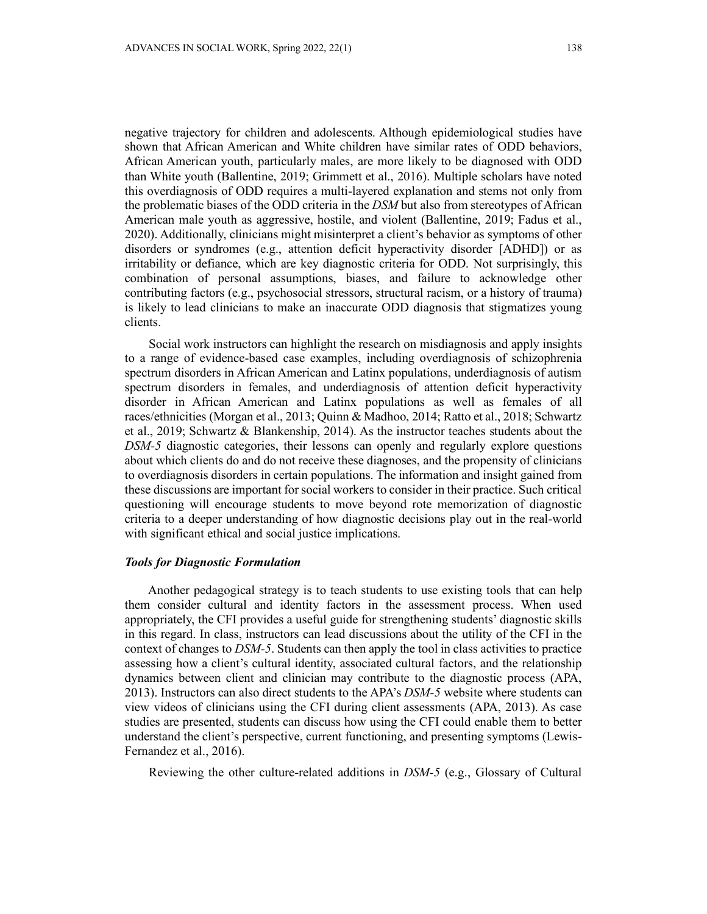negative trajectory for children and adolescents. Although epidemiological studies have shown that African American and White children have similar rates of ODD behaviors, African American youth, particularly males, are more likely to be diagnosed with ODD than White youth (Ballentine, 2019; Grimmett et al., 2016). Multiple scholars have noted this overdiagnosis of ODD requires a multi-layered explanation and stems not only from the problematic biases of the ODD criteria in the *DSM* but also from stereotypes of African American male youth as aggressive, hostile, and violent (Ballentine, 2019; Fadus et al., 2020). Additionally, clinicians might misinterpret a client's behavior as symptoms of other disorders or syndromes (e.g., attention deficit hyperactivity disorder [ADHD]) or as irritability or defiance, which are key diagnostic criteria for ODD. Not surprisingly, this combination of personal assumptions, biases, and failure to acknowledge other contributing factors (e.g., psychosocial stressors, structural racism, or a history of trauma) is likely to lead clinicians to make an inaccurate ODD diagnosis that stigmatizes young clients.

Social work instructors can highlight the research on misdiagnosis and apply insights to a range of evidence-based case examples, including overdiagnosis of schizophrenia spectrum disorders in African American and Latinx populations, underdiagnosis of autism spectrum disorders in females, and underdiagnosis of attention deficit hyperactivity disorder in African American and Latinx populations as well as females of all races/ethnicities (Morgan et al., 2013; Quinn & Madhoo, 2014; Ratto et al., 2018; Schwartz et al., 2019; Schwartz & Blankenship, 2014). As the instructor teaches students about the *DSM-5* diagnostic categories, their lessons can openly and regularly explore questions about which clients do and do not receive these diagnoses, and the propensity of clinicians to overdiagnosis disorders in certain populations. The information and insight gained from these discussions are important for social workers to consider in their practice. Such critical questioning will encourage students to move beyond rote memorization of diagnostic criteria to a deeper understanding of how diagnostic decisions play out in the real-world with significant ethical and social justice implications.

#### *Tools for Diagnostic Formulation*

Another pedagogical strategy is to teach students to use existing tools that can help them consider cultural and identity factors in the assessment process. When used appropriately, the CFI provides a useful guide for strengthening students' diagnostic skills in this regard. In class, instructors can lead discussions about the utility of the CFI in the context of changes to *DSM-5*. Students can then apply the tool in class activities to practice assessing how a client's cultural identity, associated cultural factors, and the relationship dynamics between client and clinician may contribute to the diagnostic process (APA, 2013). Instructors can also direct students to the APA's *DSM-5* website where students can view videos of clinicians using the CFI during client assessments (APA, 2013). As case studies are presented, students can discuss how using the CFI could enable them to better understand the client's perspective, current functioning, and presenting symptoms (Lewis-Fernandez et al., 2016).

Reviewing the other culture-related additions in *DSM-5* (e.g., Glossary of Cultural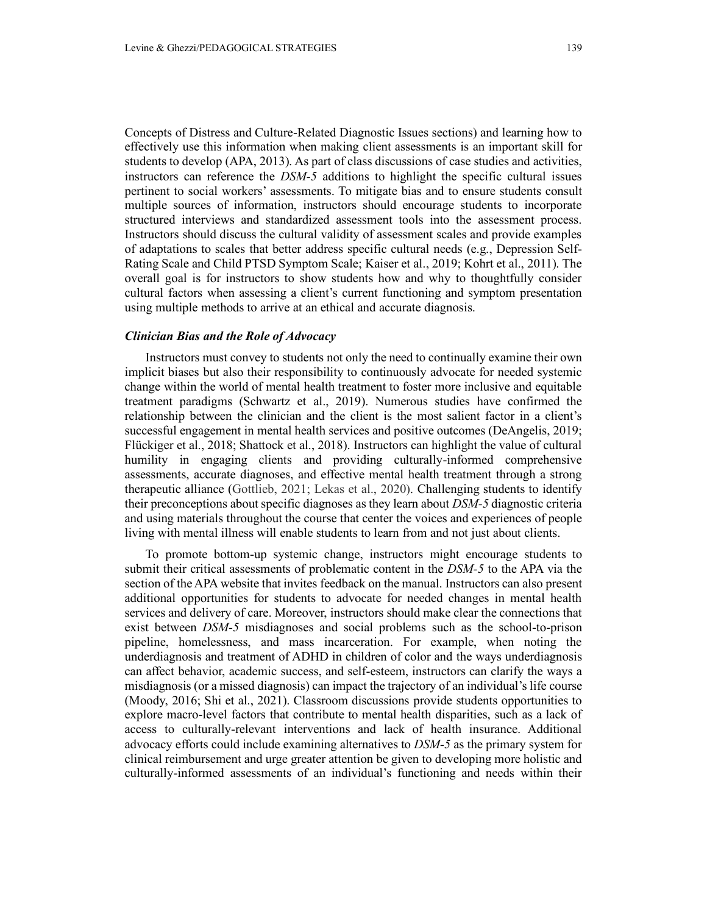Concepts of Distress and Culture-Related Diagnostic Issues sections) and learning how to effectively use this information when making client assessments is an important skill for students to develop (APA, 2013). As part of class discussions of case studies and activities, instructors can reference the *DSM-5* additions to highlight the specific cultural issues pertinent to social workers' assessments. To mitigate bias and to ensure students consult multiple sources of information, instructors should encourage students to incorporate structured interviews and standardized assessment tools into the assessment process. Instructors should discuss the cultural validity of assessment scales and provide examples of adaptations to scales that better address specific cultural needs (e.g., Depression Self-Rating Scale and Child PTSD Symptom Scale; Kaiser et al., 2019; Kohrt et al., 2011). The overall goal is for instructors to show students how and why to thoughtfully consider cultural factors when assessing a client's current functioning and symptom presentation using multiple methods to arrive at an ethical and accurate diagnosis.

### *Clinician Bias and the Role of Advocacy*

Instructors must convey to students not only the need to continually examine their own implicit biases but also their responsibility to continuously advocate for needed systemic change within the world of mental health treatment to foster more inclusive and equitable treatment paradigms (Schwartz et al., 2019). Numerous studies have confirmed the relationship between the clinician and the client is the most salient factor in a client's successful engagement in mental health services and positive outcomes (DeAngelis, 2019; Flückiger et al., 2018; Shattock et al., 2018). Instructors can highlight the value of cultural humility in engaging clients and providing culturally-informed comprehensive assessments, accurate diagnoses, and effective mental health treatment through a strong therapeutic alliance (Gottlieb, 2021; Lekas et al., 2020). Challenging students to identify their preconceptions about specific diagnoses as they learn about *DSM-5* diagnostic criteria and using materials throughout the course that center the voices and experiences of people living with mental illness will enable students to learn from and not just about clients.

To promote bottom-up systemic change, instructors might encourage students to submit their critical assessments of problematic content in the *DSM-5* to the APA via the section of the APA website that invites feedback on the manual. Instructors can also present additional opportunities for students to advocate for needed changes in mental health services and delivery of care. Moreover, instructors should make clear the connections that exist between *DSM-5* misdiagnoses and social problems such as the school-to-prison pipeline, homelessness, and mass incarceration. For example, when noting the underdiagnosis and treatment of ADHD in children of color and the ways underdiagnosis can affect behavior, academic success, and self-esteem, instructors can clarify the ways a misdiagnosis (or a missed diagnosis) can impact the trajectory of an individual's life course (Moody, 2016; Shi et al., 2021). Classroom discussions provide students opportunities to explore macro-level factors that contribute to mental health disparities, such as a lack of access to culturally-relevant interventions and lack of health insurance. Additional advocacy efforts could include examining alternatives to *DSM-5* as the primary system for clinical reimbursement and urge greater attention be given to developing more holistic and culturally-informed assessments of an individual's functioning and needs within their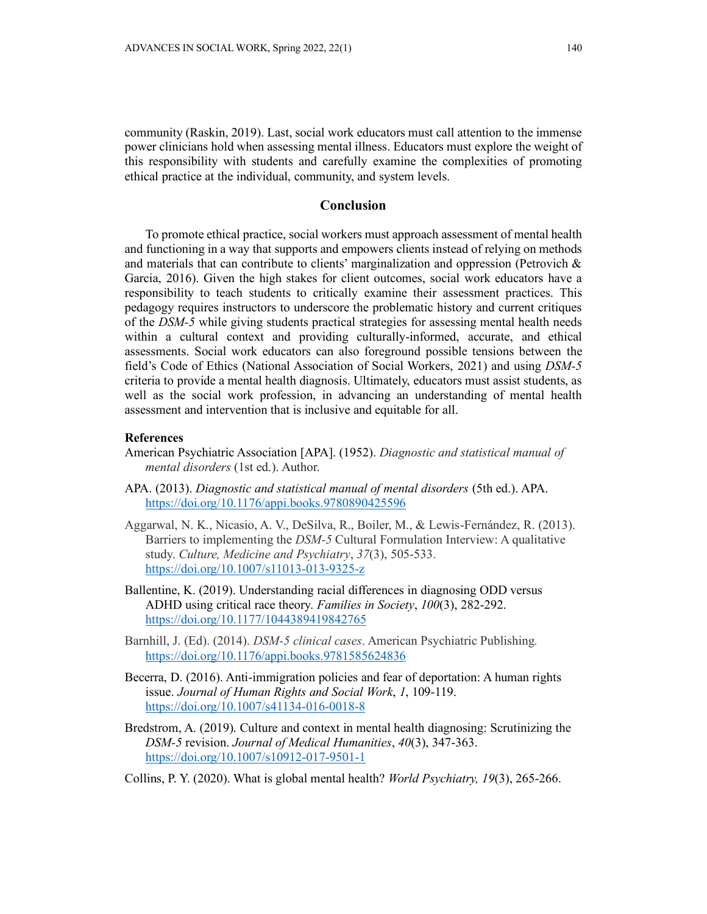community (Raskin, 2019). Last, social work educators must call attention to the immense power clinicians hold when assessing mental illness. Educators must explore the weight of this responsibility with students and carefully examine the complexities of promoting ethical practice at the individual, community, and system levels.

## **Conclusion**

To promote ethical practice, social workers must approach assessment of mental health and functioning in a way that supports and empowers clients instead of relying on methods and materials that can contribute to clients' marginalization and oppression (Petrovich  $\&$ Garcia, 2016). Given the high stakes for client outcomes, social work educators have a responsibility to teach students to critically examine their assessment practices. This pedagogy requires instructors to underscore the problematic history and current critiques of the *DSM-5* while giving students practical strategies for assessing mental health needs within a cultural context and providing culturally-informed, accurate, and ethical assessments. Social work educators can also foreground possible tensions between the field's Code of Ethics (National Association of Social Workers, 2021) and using *DSM-5* criteria to provide a mental health diagnosis. Ultimately, educators must assist students, as well as the social work profession, in advancing an understanding of mental health assessment and intervention that is inclusive and equitable for all.

### **References**

- American Psychiatric Association [APA]. (1952). *Diagnostic and statistical manual of mental disorders* (1st ed.). Author.
- APA. (2013). *Diagnostic and statistical manual of mental disorders* (5th ed.). APA. <https://doi.org/10.1176/appi.books.9780890425596>
- Aggarwal, N. K., Nicasio, A. V., DeSilva, R., Boiler, M., & Lewis-Fernández, R. (2013). Barriers to implementing the *DSM-5* Cultural Formulation Interview: A qualitative study. *Culture, Medicine and Psychiatry*, *37*(3), 505-533. <https://doi.org/10.1007/s11013-013-9325-z>
- Ballentine, K. (2019). Understanding racial differences in diagnosing ODD versus ADHD using critical race theory. *Families in Society*, *100*(3), 282-292. [https://doi.org/10.1177/1044389419842765](about:blank)
- Barnhill, J. (Ed). (2014). *DSM-5 clinical cases*. American Psychiatric Publishing*.* <https://doi.org/10.1176/appi.books.9781585624836>
- Becerra, D. (2016). Anti-immigration policies and fear of deportation: A human rights issue. *Journal of Human Rights and Social Work*, *1*, 109-119. <https://doi.org/10.1007/s41134-016-0018-8>
- Bredstrom, A. (2019). Culture and context in mental health diagnosing: Scrutinizing the *DSM-5* revision. *Journal of Medical Humanities*, *40*(3), 347-363. <https://doi.org/10.1007/s10912-017-9501-1>
- Collins, P. Y. (2020). What is global mental health? *World Psychiatry, 19*(3), 265-266.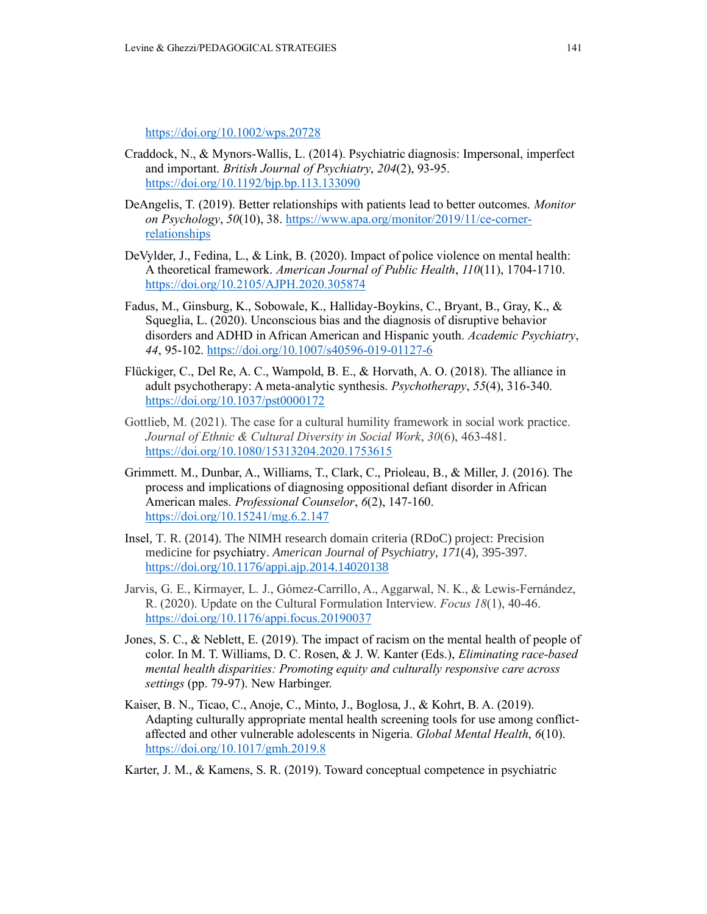<https://doi.org/10.1002/wps.20728>

- Craddock, N., & Mynors-Wallis, L. (2014). Psychiatric diagnosis: Impersonal, imperfect and important. *British Journal of Psychiatry*, *204*(2), 93-95. <https://doi.org/10.1192/bjp.bp.113.133090>
- DeAngelis, T. (2019). Better relationships with patients lead to better outcomes. *Monitor on Psychology*, *50*(10), 38. [https://www.apa.org/monitor/2019/11/ce-corner](https://www.apa.org/monitor/2019/11/ce-corner-relationships)[relationships](https://www.apa.org/monitor/2019/11/ce-corner-relationships)
- DeVylder, J., Fedina, L., & Link, B. (2020). Impact of police violence on mental health: A theoretical framework. *American Journal of Public Health*, *110*(11), 1704-1710. <https://doi.org/10.2105/AJPH.2020.305874>
- Fadus, M., Ginsburg, K., Sobowale, K., Halliday-Boykins, C., Bryant, B., Gray, K., & Squeglia, L. (2020). Unconscious bias and the diagnosis of disruptive behavior disorders and ADHD in African American and Hispanic youth. *Academic Psychiatry*, *44*, 95-102.<https://doi.org/10.1007/s40596-019-01127-6>
- Flückiger, C., Del Re, A. C., Wampold, B. E., & Horvath, A. O. (2018). The alliance in adult psychotherapy: A meta-analytic synthesis. *Psychotherapy*, *55*(4), 316-340. [https://doi.org/10.1037/pst0000172](about:blank)
- Gottlieb, M. (2021). The case for a cultural humility framework in social work practice. *Journal of Ethnic & Cultural Diversity in Social Work*, *30*(6), 463-481. <https://doi.org/10.1080/15313204.2020.1753615>
- Grimmett. M., Dunbar, A., Williams, T., Clark, C., Prioleau, B., & Miller, J. (2016). The process and implications of diagnosing oppositional defiant disorder in African American males. *Professional Counselor*, *6*(2), 147-160. <https://doi.org/10.15241/mg.6.2.147>
- Insel, T. R. (2014). The NIMH research domain criteria (RDoC) project: Precision medicine for psychiatry. *American Journal of Psychiatry*, *171*(4), 395-397. <https://doi.org/10.1176/appi.ajp.2014.14020138>
- Jarvis, G. E., Kirmayer, L. J., Gómez-Carrillo, A., Aggarwal, N. K., & Lewis-Fernández, R. (2020). Update on the Cultural Formulation Interview. *Focus 18*(1), 40-46. <https://doi.org/10.1176/appi.focus.20190037>
- Jones, S. C., & Neblett, E. (2019). The impact of racism on the mental health of people of color. In M. T. Williams, D. C. Rosen, & J. W. Kanter (Eds.), *Eliminating race-based mental health disparities: Promoting equity and culturally responsive care across settings* (pp. 79-97). New Harbinger.
- Kaiser, B. N., Ticao, C., Anoje, C., Minto, J., Boglosa, J., & Kohrt, B. A. (2019). Adapting culturally appropriate mental health screening tools for use among conflictaffected and other vulnerable adolescents in Nigeria. *Global Mental Health*, *6*(10). <https://doi.org/10.1017/gmh.2019.8>
- Karter, J. M., & Kamens, S. R. (2019). Toward conceptual competence in psychiatric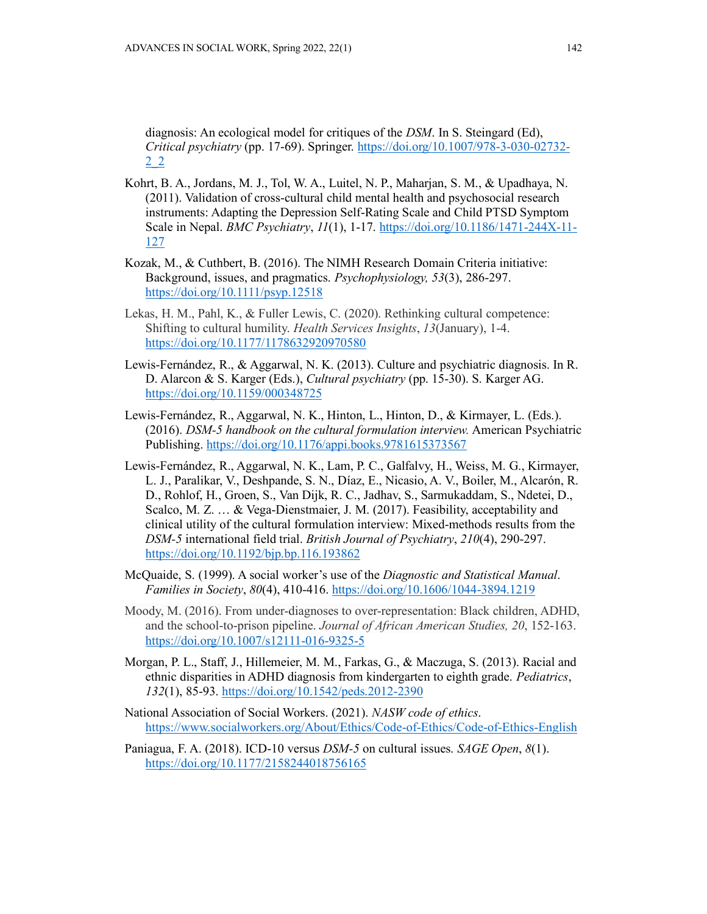diagnosis: An ecological model for critiques of the *DSM*. In S. Steingard (Ed), *Critical psychiatry* (pp. 17-69). Springer. [https://doi.org/10.1007/978-3-030-02732-](https://doi.org/10.1007/978-3-030-02732-2_2) [2\\_2](https://doi.org/10.1007/978-3-030-02732-2_2)

- Kohrt, B. A., Jordans, M. J., Tol, W. A., Luitel, N. P., Maharjan, S. M., & Upadhaya, N. (2011). Validation of cross-cultural child mental health and psychosocial research instruments: Adapting the Depression Self-Rating Scale and Child PTSD Symptom Scale in Nepal. *BMC Psychiatry*, *11*(1), 1-17. [https://doi.org/10.1186/1471-244X-11-](https://doi.org/10.1186/1471-244X-11-127) [127](https://doi.org/10.1186/1471-244X-11-127)
- Kozak, M., & Cuthbert, B. (2016). The NIMH Research Domain Criteria initiative: Background, issues, and pragmatics. *Psychophysiology, 53*(3), 286-297. <https://doi.org/10.1111/psyp.12518>
- Lekas, H. M., Pahl, K., & Fuller Lewis, C. (2020). Rethinking cultural competence: Shifting to cultural humility. *Health Services Insights*, *13*(January), 1-4. <https://doi.org/10.1177/1178632920970580>
- Lewis-Fernández, R., & Aggarwal, N. K. (2013). Culture and psychiatric diagnosis. In R. D. Alarcon & S. Karger (Eds.), *Cultural psychiatry* (pp. 15-30). S. Karger AG. <https://doi.org/10.1159/000348725>
- Lewis-Fernández, R., Aggarwal, N. K., Hinton, L., Hinton, D., & Kirmayer, L. (Eds.). (2016). *DSM-5 handbook on the cultural formulation interview.* American Psychiatric Publishing[. https://doi.org/10.1176/appi.books.9781615373567](https://doi.org/10.1176/appi.books.9781615373567)
- Lewis-Fernández, R., Aggarwal, N. K., Lam, P. C., Galfalvy, H., Weiss, M. G., Kirmayer, L. J., Paralikar, V., Deshpande, S. N., Díaz, E., Nicasio, A. V., Boiler, M., Alcarón, R. D., Rohlof, H., Groen, S., Van Dijk, R. C., Jadhav, S., Sarmukaddam, S., Ndetei, D., Scalco, M. Z. … & Vega-Dienstmaier, J. M. (2017). Feasibility, acceptability and clinical utility of the cultural formulation interview: Mixed-methods results from the *DSM-5* international field trial. *British Journal of Psychiatry*, *210*(4), 290-297. <https://doi.org/10.1192/bjp.bp.116.193862>
- McQuaide, S. (1999). A social worker's use of the *Diagnostic and Statistical Ma[nu](about:blank)al*. *Families in Society*, *80*(4), 410-416.<https://doi.org/10.1606/1044-3894.1219>
- Moody, M. (2016). From under-diagnoses to over-representation: Black children, ADHD, and the school-to-prison pipeline. *Journal of African American Studies, 20*, 152-163. <https://doi.org/10.1007/s12111-016-9325-5>
- Morgan, P. L., Staff, J., Hillemeier, M. M., Farkas, G., & Maczuga, S. (2013). Racial and ethnic disparities in ADHD diagnosis from kindergarten to eighth grade. *Pediatrics*, *132*(1), 85-93.<https://doi.org/10.1542/peds.2012-2390>
- National Association of Social Workers. (2021). *NASW code of ethics*. <https://www.socialworkers.org/About/Ethics/Code-of-Ethics/Code-of-Ethics-English>
- Paniagua, F. A. (2018). ICD-10 versus *DSM-5* on cultural issues. *SAGE Open*, *8*(1). <https://doi.org/10.1177/2158244018756165>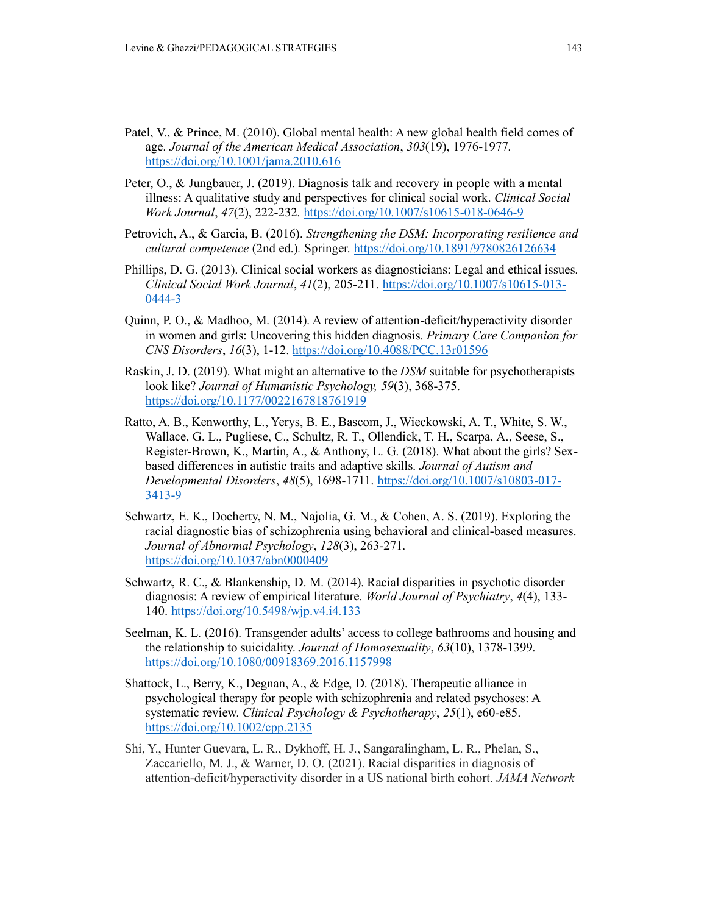- Patel, V., & Prince, M. (2010). Global mental health: A new global health field comes of age. *Journal of the American Medical Association*, *303*(19), 1976-1977. <https://doi.org/10.1001/jama.2010.616>
- Peter, O., & Jungbauer, J. (2019). Diagnosis talk and recovery in people with a mental illness: A qualitative study and perspectives for clinical social work. *Clinical Social Work Journal*, *47*(2), 222-232.<https://doi.org/10.1007/s10615-018-0646-9>
- Petrovich, A., & Garcia, B. (2016). *Strengthening the DSM: Incorporating resilience and cultural competence* (2nd ed.)*.* Springer. <https://doi.org/10.1891/9780826126634>
- Phillips, D. G. (2013). Clinical social workers as diagnosticians: Legal and ethical issues. *Clinical Social Work Journal*, *41*(2), 205-211. [https://doi.org/10.1007/s10615-013-](https://doi.org/10.1007/s10615-013-0444-3%20 ) [0444-3](https://doi.org/10.1007/s10615-013-0444-3%20 )
- Quinn, P. O., & Madhoo, M. (2014). A review of attention-deficit/hyperactivity disorder in women and girls: Uncovering this hidden diagnosis*. Primary Care Companion for CNS Disorders*, *16*(3), 1-12.<https://doi.org/10.4088/PCC.13r01596>
- Raskin, J. D. (2019). What might an alternative to the *DSM* suitable for psychotherapists look like? *Journal of Humanistic Psychology, 59*(3), 368-375. <https://doi.org/10.1177/0022167818761919>
- Ratto, A. B., Kenworthy, L., Yerys, B. E., Bascom, J., Wieckowski, A. T., White, S. W., Wallace, G. L., Pugliese, C., Schultz, R. T., Ollendick, T. H., Scarpa, A., Seese, S., Register-Brown, K., Martin, A., & Anthony, L. G. (2018). What about the girls? Sexbased differences in autistic traits and adaptive skills. *Journal of Autism and Developmental Disorders*, *48*(5), 1698-1711. [https://doi.org/10.1007/s10803-017-](https://doi.org/10.1007/s10803-017-3413-9) [3413-9](https://doi.org/10.1007/s10803-017-3413-9)
- Schwartz, E. K., Docherty, N. M., Najolia, G. M., & Cohen, A. S. (2019). Exploring the racial diagnostic bias of schizophrenia using behavioral and clinical-based measures. *Journal of Abnormal Psychology*, *128*(3), 263-271. [https://doi.org/10.1037/abn0000409](https://doi.org/10.1037/abn0000409%20 )
- Schwartz, R. C., & Blankenship, D. M. (2014). Racial disparities in psychotic disorder diagnosis: A review of empirical literature. *World Journal of Psychiatry*, *4*(4), 133- 140. [https://doi.org/10.5498/wjp.v4.i4.133](https://doi.org/10.5498/wjp.v4.i4.133%20 )
- Seelman, K. L. (2016). Transgender adults' access to college bathrooms and housing and the relationship to suicidality. *Journal of Homosexuality*, *63*(10), 1378-1399. <https://doi.org/10.1080/00918369.2016.1157998>
- Shattock, L., Berry, K., Degnan, A., & Edge, D. (2018). Therapeutic alliance in psychological therapy for people with schizophrenia and related psychoses: A systematic review. *Clinical Psychology & Psychotherapy*, *25*(1), e60-e85. <https://doi.org/10.1002/cpp.2135>
- Shi, Y., Hunter Guevara, L. R., Dykhoff, H. J., Sangaralingham, L. R., Phelan, S., Zaccariello, M. J., & Warner, D. O. (2021). Racial disparities in diagnosis of attention-deficit/hyperactivity disorder in a US national birth cohort. *JAMA Network*